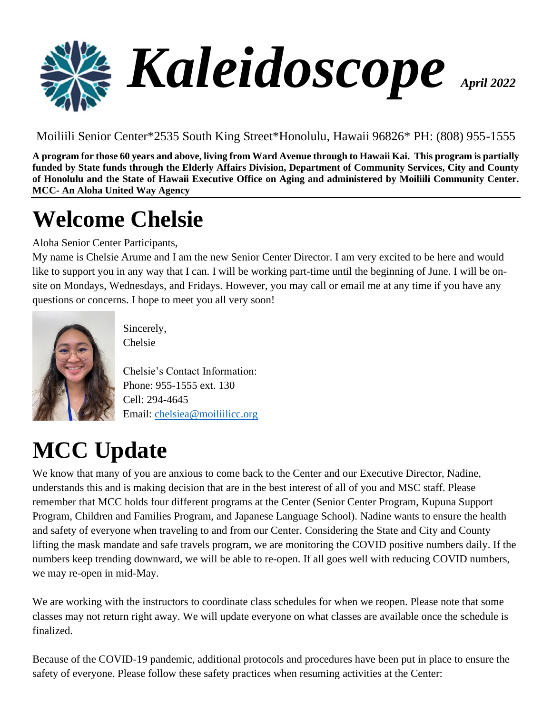

Moiliili Senior Center\*2535 South King Street\*Honolulu, Hawaii 96826\* PH: (808) 955-1555

**A program for those 60 years and above, living from Ward Avenue through to Hawaii Kai. This program is partially funded by State funds through the Elderly Affairs Division, Department of Community Services, City and County of Honolulu and the State of Hawaii Executive Office on Aging and administered by Moiliili Community Center. MCC- An Aloha United Way Agency**

# **Welcome Chelsie**

Aloha Senior Center Participants,

My name is Chelsie Arume and I am the new Senior Center Director. I am very excited to be here and would like to support you in any way that I can. I will be working part-time until the beginning of June. I will be onsite on Mondays, Wednesdays, and Fridays. However, you may call or email me at any time if you have any questions or concerns. I hope to meet you all very soon!



Sincerely, Chelsie

Chelsie's Contact Information: Phone: 955-1555 ext. 130 Cell: 294-4645 Email: [chelsiea@moiliilicc.org](mailto:chelsiea@moiliilicc.org)

# **MCC Update**

We know that many of you are anxious to come back to the Center and our Executive Director, Nadine, understands this and is making decision that are in the best interest of all of you and MSC staff. Please remember that MCC holds four different programs at the Center (Senior Center Program, Kupuna Support Program, Children and Families Program, and Japanese Language School). Nadine wants to ensure the health and safety of everyone when traveling to and from our Center. Considering the State and City and County lifting the mask mandate and safe travels program, we are monitoring the COVID positive numbers daily. If the numbers keep trending downward, we will be able to re-open. If all goes well with reducing COVID numbers, we may re-open in mid-May.

We are working with the instructors to coordinate class schedules for when we reopen. Please note that some classes may not return right away. We will update everyone on what classes are available once the schedule is finalized.

Because of the COVID-19 pandemic, additional protocols and procedures have been put in place to ensure the safety of everyone. Please follow these safety practices when resuming activities at the Center: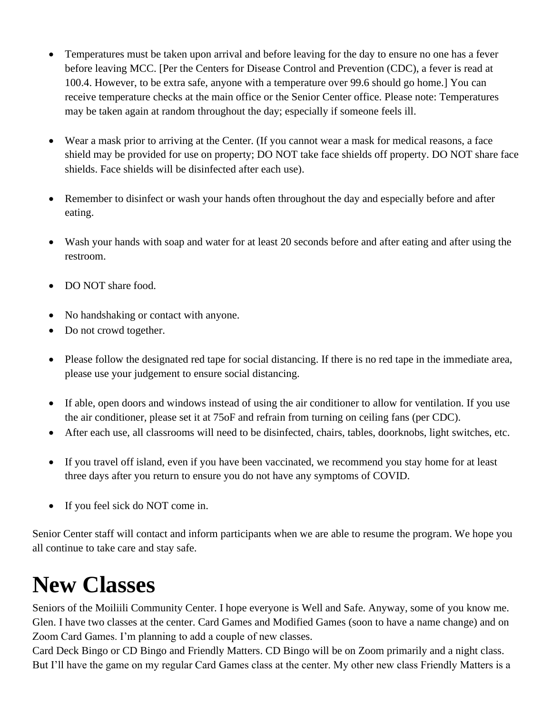- Temperatures must be taken upon arrival and before leaving for the day to ensure no one has a fever before leaving MCC. [Per the Centers for Disease Control and Prevention (CDC), a fever is read at 100.4. However, to be extra safe, anyone with a temperature over 99.6 should go home.] You can receive temperature checks at the main office or the Senior Center office. Please note: Temperatures may be taken again at random throughout the day; especially if someone feels ill.
- Wear a mask prior to arriving at the Center. (If you cannot wear a mask for medical reasons, a face shield may be provided for use on property; DO NOT take face shields off property. DO NOT share face shields. Face shields will be disinfected after each use).
- Remember to disinfect or wash your hands often throughout the day and especially before and after eating.
- Wash your hands with soap and water for at least 20 seconds before and after eating and after using the restroom.
- DO NOT share food.
- No handshaking or contact with anyone.
- Do not crowd together.
- Please follow the designated red tape for social distancing. If there is no red tape in the immediate area, please use your judgement to ensure social distancing.
- If able, open doors and windows instead of using the air conditioner to allow for ventilation. If you use the air conditioner, please set it at 75oF and refrain from turning on ceiling fans (per CDC).
- After each use, all classrooms will need to be disinfected, chairs, tables, doorknobs, light switches, etc.
- If you travel off island, even if you have been vaccinated, we recommend you stay home for at least three days after you return to ensure you do not have any symptoms of COVID.
- If you feel sick do NOT come in.

Senior Center staff will contact and inform participants when we are able to resume the program. We hope you all continue to take care and stay safe.

## **New Classes**

Seniors of the Moiliili Community Center. I hope everyone is Well and Safe. Anyway, some of you know me. Glen. I have two classes at the center. Card Games and Modified Games (soon to have a name change) and on Zoom Card Games. I'm planning to add a couple of new classes.

Card Deck Bingo or CD Bingo and Friendly Matters. CD Bingo will be on Zoom primarily and a night class. But I'll have the game on my regular Card Games class at the center. My other new class Friendly Matters is a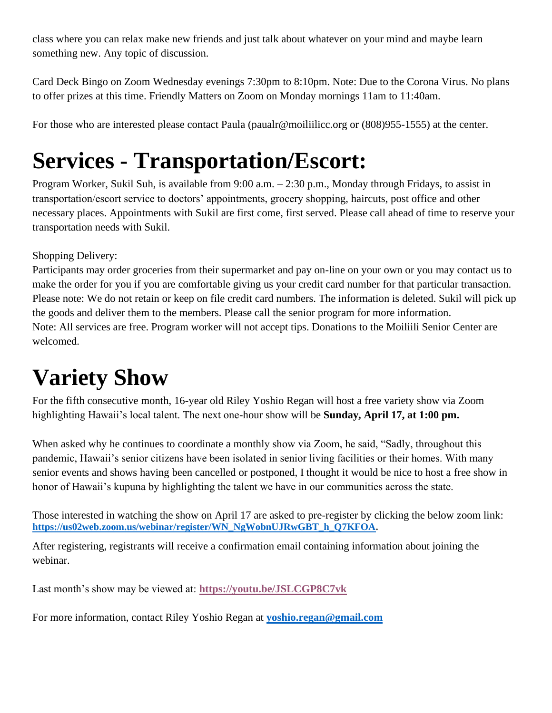class where you can relax make new friends and just talk about whatever on your mind and maybe learn something new. Any topic of discussion.

Card Deck Bingo on Zoom Wednesday evenings 7:30pm to 8:10pm. Note: Due to the Corona Virus. No plans to offer prizes at this time. Friendly Matters on Zoom on Monday mornings 11am to 11:40am.

For those who are interested please contact Paula (paualr@moiliilicc.org or  $(808)955-1555$ ) at the center.

## **Services - Transportation/Escort:**

Program Worker, Sukil Suh, is available from 9:00 a.m. – 2:30 p.m., Monday through Fridays, to assist in transportation/escort service to doctors' appointments, grocery shopping, haircuts, post office and other necessary places. Appointments with Sukil are first come, first served. Please call ahead of time to reserve your transportation needs with Sukil.

### Shopping Delivery:

Participants may order groceries from their supermarket and pay on-line on your own or you may contact us to make the order for you if you are comfortable giving us your credit card number for that particular transaction. Please note: We do not retain or keep on file credit card numbers. The information is deleted. Sukil will pick up the goods and deliver them to the members. Please call the senior program for more information. Note: All services are free. Program worker will not accept tips. Donations to the Moiliili Senior Center are welcomed.

### **Variety Show**

For the fifth consecutive month, 16-year old Riley Yoshio Regan will host a free variety show via Zoom highlighting Hawaii's local talent. The next one-hour show will be **Sunday, April 17, at 1:00 pm.** 

When asked why he continues to coordinate a monthly show via Zoom, he said, "Sadly, throughout this pandemic, Hawaii's senior citizens have been isolated in senior living facilities or their homes. With many senior events and shows having been cancelled or postponed, I thought it would be nice to host a free show in honor of Hawaii's kupuna by highlighting the talent we have in our communities across the state.

Those interested in watching the show on April 17 are asked to pre-register by clicking the below zoom link: **[https://us02web.zoom.us/webinar/register/WN\\_NgWobnUJRwGBT\\_h\\_Q7KFOA.](https://us02web.zoom.us/webinar/register/WN_NgWobnUJRwGBT_h_Q7KFOA)**

After registering, registrants will receive a confirmation email containing information about joining the webinar.

Last month's show may be viewed at: **<https://youtu.be/JSLCGP8C7vk>**

For more information, contact Riley Yoshio Regan at **[yoshio.regan@gmail.com](mailto:yoshio.regan@gmail.com)**